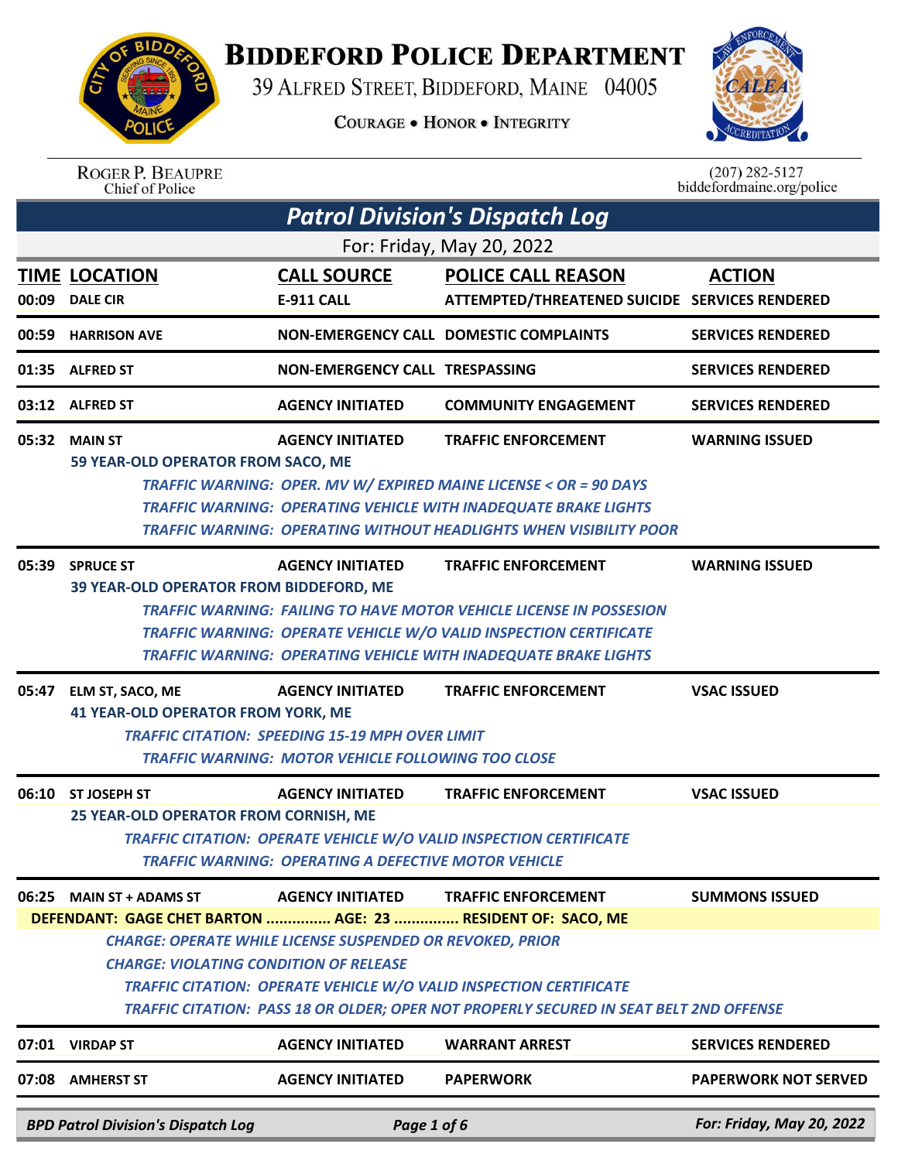

## **BIDDEFORD POLICE DEPARTMENT**

39 ALFRED STREET, BIDDEFORD, MAINE 04005

**COURAGE . HONOR . INTEGRITY** 



ROGER P. BEAUPRE<br>Chief of Police

 $(207)$  282-5127<br>biddefordmaine.org/police

|       | <b>Patrol Division's Dispatch Log</b>                                                                                                                                                                                                                                                                                                                   |                                                                                                                                                |                                                                                                                                                                                                                                                         |                             |  |  |
|-------|---------------------------------------------------------------------------------------------------------------------------------------------------------------------------------------------------------------------------------------------------------------------------------------------------------------------------------------------------------|------------------------------------------------------------------------------------------------------------------------------------------------|---------------------------------------------------------------------------------------------------------------------------------------------------------------------------------------------------------------------------------------------------------|-----------------------------|--|--|
|       | For: Friday, May 20, 2022                                                                                                                                                                                                                                                                                                                               |                                                                                                                                                |                                                                                                                                                                                                                                                         |                             |  |  |
|       | <b>TIME LOCATION</b>                                                                                                                                                                                                                                                                                                                                    | <b>CALL SOURCE</b>                                                                                                                             | <b>POLICE CALL REASON</b>                                                                                                                                                                                                                               | <b>ACTION</b>               |  |  |
| 00:09 | <b>DALE CIR</b>                                                                                                                                                                                                                                                                                                                                         | <b>E-911 CALL</b>                                                                                                                              | ATTEMPTED/THREATENED SUICIDE SERVICES RENDERED                                                                                                                                                                                                          |                             |  |  |
|       | 00:59 HARRISON AVE                                                                                                                                                                                                                                                                                                                                      |                                                                                                                                                | NON-EMERGENCY CALL DOMESTIC COMPLAINTS                                                                                                                                                                                                                  | <b>SERVICES RENDERED</b>    |  |  |
|       | 01:35 ALFRED ST                                                                                                                                                                                                                                                                                                                                         | NON-EMERGENCY CALL TRESPASSING                                                                                                                 |                                                                                                                                                                                                                                                         | <b>SERVICES RENDERED</b>    |  |  |
|       | 03:12 ALFRED ST                                                                                                                                                                                                                                                                                                                                         | <b>AGENCY INITIATED</b>                                                                                                                        | <b>COMMUNITY ENGAGEMENT</b>                                                                                                                                                                                                                             | <b>SERVICES RENDERED</b>    |  |  |
|       | 05:32 MAIN ST<br>59 YEAR-OLD OPERATOR FROM SACO, ME                                                                                                                                                                                                                                                                                                     | <b>AGENCY INITIATED</b>                                                                                                                        | <b>TRAFFIC ENFORCEMENT</b><br>TRAFFIC WARNING: OPER. MV W/ EXPIRED MAINE LICENSE < OR = 90 DAYS<br><b>TRAFFIC WARNING: OPERATING VEHICLE WITH INADEQUATE BRAKE LIGHTS</b><br><b>TRAFFIC WARNING: OPERATING WITHOUT HEADLIGHTS WHEN VISIBILITY POOR</b>  | <b>WARNING ISSUED</b>       |  |  |
|       | 05:39 SPRUCE ST<br>39 YEAR-OLD OPERATOR FROM BIDDEFORD, ME                                                                                                                                                                                                                                                                                              | <b>AGENCY INITIATED</b>                                                                                                                        | <b>TRAFFIC ENFORCEMENT</b><br><b>TRAFFIC WARNING: FAILING TO HAVE MOTOR VEHICLE LICENSE IN POSSESION</b><br><b>TRAFFIC WARNING: OPERATE VEHICLE W/O VALID INSPECTION CERTIFICATE</b><br>TRAFFIC WARNING: OPERATING VEHICLE WITH INADEQUATE BRAKE LIGHTS | <b>WARNING ISSUED</b>       |  |  |
|       | 05:47 ELM ST, SACO, ME<br><b>41 YEAR-OLD OPERATOR FROM YORK, ME</b>                                                                                                                                                                                                                                                                                     | <b>AGENCY INITIATED</b><br><b>TRAFFIC CITATION: SPEEDING 15-19 MPH OVER LIMIT</b><br><b>TRAFFIC WARNING: MOTOR VEHICLE FOLLOWING TOO CLOSE</b> | <b>TRAFFIC ENFORCEMENT</b>                                                                                                                                                                                                                              | <b>VSAC ISSUED</b>          |  |  |
| 06:10 | <b>ST JOSEPH ST</b><br>25 YEAR-OLD OPERATOR FROM CORNISH, ME                                                                                                                                                                                                                                                                                            | <b>AGENCY INITIATED</b><br>TRAFFIC WARNING: OPERATING A DEFECTIVE MOTOR VEHICLE                                                                | <b>TRAFFIC ENFORCEMENT</b><br><b>TRAFFIC CITATION: OPERATE VEHICLE W/O VALID INSPECTION CERTIFICATE</b>                                                                                                                                                 | <b>VSAC ISSUED</b>          |  |  |
|       | 06:25 MAIN ST + ADAMS ST                                                                                                                                                                                                                                                                                                                                | <b>AGENCY INITIATED</b>                                                                                                                        | <b>TRAFFIC ENFORCEMENT</b>                                                                                                                                                                                                                              | <b>SUMMONS ISSUED</b>       |  |  |
|       | DEFENDANT: GAGE CHET BARTON  AGE: 23  RESIDENT OF: SACO, ME<br><b>CHARGE: OPERATE WHILE LICENSE SUSPENDED OR REVOKED, PRIOR</b><br><b>CHARGE: VIOLATING CONDITION OF RELEASE</b><br><b>TRAFFIC CITATION: OPERATE VEHICLE W/O VALID INSPECTION CERTIFICATE</b><br>TRAFFIC CITATION: PASS 18 OR OLDER; OPER NOT PROPERLY SECURED IN SEAT BELT 2ND OFFENSE |                                                                                                                                                |                                                                                                                                                                                                                                                         |                             |  |  |
|       | 07:01 VIRDAP ST                                                                                                                                                                                                                                                                                                                                         | <b>AGENCY INITIATED</b>                                                                                                                        | <b>WARRANT ARREST</b>                                                                                                                                                                                                                                   | <b>SERVICES RENDERED</b>    |  |  |
|       | 07:08 AMHERST ST                                                                                                                                                                                                                                                                                                                                        | <b>AGENCY INITIATED</b>                                                                                                                        | <b>PAPERWORK</b>                                                                                                                                                                                                                                        | <b>PAPERWORK NOT SERVED</b> |  |  |
|       | <b>BPD Patrol Division's Dispatch Log</b>                                                                                                                                                                                                                                                                                                               | Page 1 of 6                                                                                                                                    |                                                                                                                                                                                                                                                         | For: Friday, May 20, 2022   |  |  |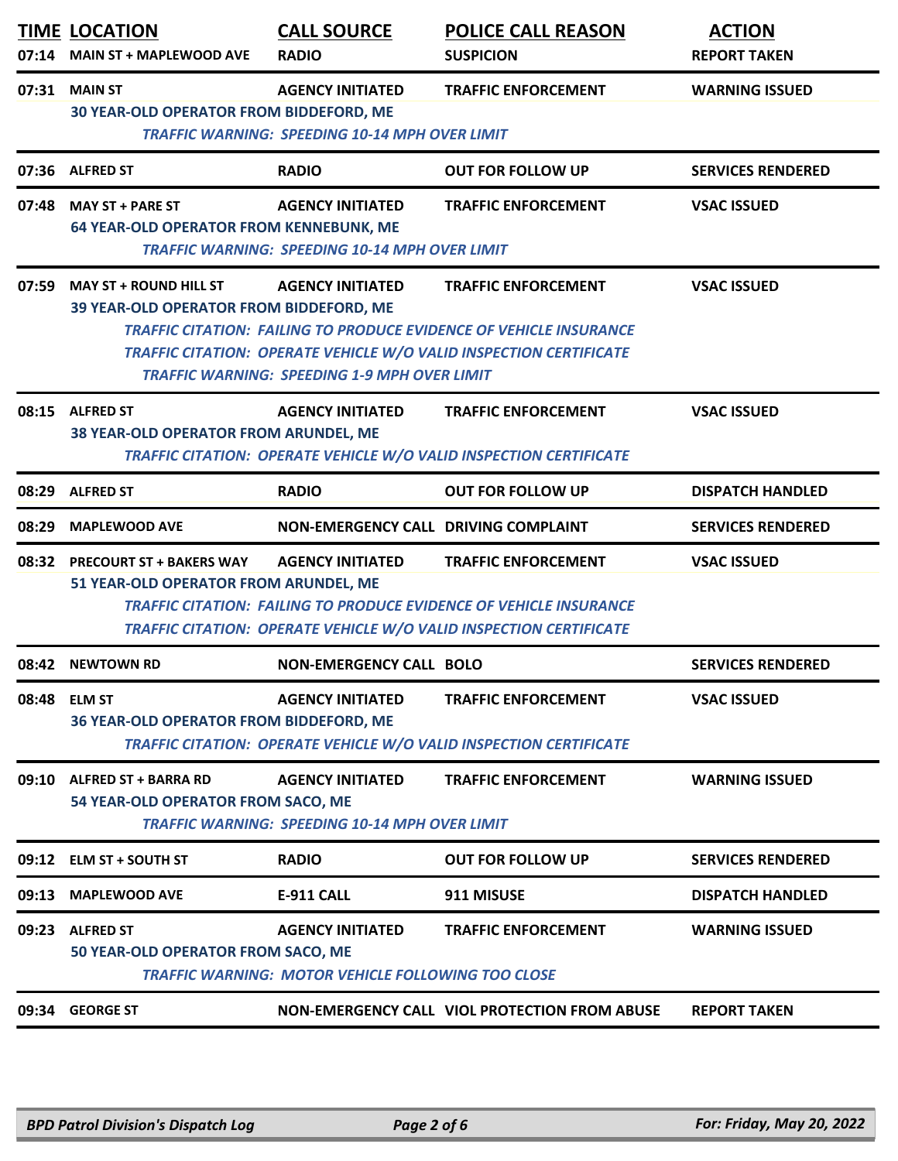| 07:14 | <b>TIME LOCATION</b><br><b>MAIN ST + MAPLEWOOD AVE</b>                                                                                                                                                                                                                                                                                                                   | <b>CALL SOURCE</b><br><b>RADIO</b>                                                   | <b>POLICE CALL REASON</b><br><b>SUSPICION</b>                                                                                                                                 | <b>ACTION</b><br><b>REPORT TAKEN</b> |  |
|-------|--------------------------------------------------------------------------------------------------------------------------------------------------------------------------------------------------------------------------------------------------------------------------------------------------------------------------------------------------------------------------|--------------------------------------------------------------------------------------|-------------------------------------------------------------------------------------------------------------------------------------------------------------------------------|--------------------------------------|--|
| 07:31 | <b>MAIN ST</b><br>30 YEAR-OLD OPERATOR FROM BIDDEFORD, ME<br><b>TRAFFIC WARNING: SPEEDING 10-14 MPH OVER LIMIT</b>                                                                                                                                                                                                                                                       | <b>TRAFFIC ENFORCEMENT</b>                                                           | <b>WARNING ISSUED</b>                                                                                                                                                         |                                      |  |
|       | 07:36 ALFRED ST                                                                                                                                                                                                                                                                                                                                                          | <b>RADIO</b>                                                                         | <b>OUT FOR FOLLOW UP</b>                                                                                                                                                      | <b>SERVICES RENDERED</b>             |  |
| 07:48 | <b>MAY ST + PARE ST</b><br><b>64 YEAR-OLD OPERATOR FROM KENNEBUNK, ME</b>                                                                                                                                                                                                                                                                                                | <b>AGENCY INITIATED</b><br><b>TRAFFIC WARNING: SPEEDING 10-14 MPH OVER LIMIT</b>     | <b>TRAFFIC ENFORCEMENT</b>                                                                                                                                                    | <b>VSAC ISSUED</b>                   |  |
| 07:59 | <b>MAY ST + ROUND HILL ST</b><br><b>AGENCY INITIATED</b><br><b>TRAFFIC ENFORCEMENT</b><br><b>VSAC ISSUED</b><br>39 YEAR-OLD OPERATOR FROM BIDDEFORD, ME<br><b>TRAFFIC CITATION: FAILING TO PRODUCE EVIDENCE OF VEHICLE INSURANCE</b><br><b>TRAFFIC CITATION: OPERATE VEHICLE W/O VALID INSPECTION CERTIFICATE</b><br><b>TRAFFIC WARNING: SPEEDING 1-9 MPH OVER LIMIT</b> |                                                                                      |                                                                                                                                                                               |                                      |  |
|       | 08:15 ALFRED ST<br>38 YEAR-OLD OPERATOR FROM ARUNDEL, ME                                                                                                                                                                                                                                                                                                                 | <b>AGENCY INITIATED</b>                                                              | <b>TRAFFIC ENFORCEMENT</b><br>TRAFFIC CITATION: OPERATE VEHICLE W/O VALID INSPECTION CERTIFICATE                                                                              | <b>VSAC ISSUED</b>                   |  |
| 08:29 | <b>ALFRED ST</b>                                                                                                                                                                                                                                                                                                                                                         | <b>RADIO</b>                                                                         | <b>OUT FOR FOLLOW UP</b>                                                                                                                                                      | <b>DISPATCH HANDLED</b>              |  |
| 08:29 | <b>MAPLEWOOD AVE</b>                                                                                                                                                                                                                                                                                                                                                     | NON-EMERGENCY CALL DRIVING COMPLAINT                                                 |                                                                                                                                                                               | <b>SERVICES RENDERED</b>             |  |
|       | 08:32 PRECOURT ST + BAKERS WAY<br>51 YEAR-OLD OPERATOR FROM ARUNDEL, ME                                                                                                                                                                                                                                                                                                  | <b>AGENCY INITIATED</b>                                                              | <b>TRAFFIC ENFORCEMENT</b><br><b>TRAFFIC CITATION: FAILING TO PRODUCE EVIDENCE OF VEHICLE INSURANCE</b><br>TRAFFIC CITATION: OPERATE VEHICLE W/O VALID INSPECTION CERTIFICATE | <b>VSAC ISSUED</b>                   |  |
|       | 08:42 NEWTOWN RD                                                                                                                                                                                                                                                                                                                                                         | <b>NON-EMERGENCY CALL BOLO</b>                                                       |                                                                                                                                                                               | <b>SERVICES RENDERED</b>             |  |
| 08:48 | <b>ELM ST</b><br>36 YEAR-OLD OPERATOR FROM BIDDEFORD, ME                                                                                                                                                                                                                                                                                                                 | <b>AGENCY INITIATED</b>                                                              | <b>TRAFFIC ENFORCEMENT</b><br><b>TRAFFIC CITATION: OPERATE VEHICLE W/O VALID INSPECTION CERTIFICATE</b>                                                                       | <b>VSAC ISSUED</b>                   |  |
|       | 09:10 ALFRED ST + BARRA RD<br><b>AGENCY INITIATED</b><br><b>TRAFFIC ENFORCEMENT</b><br><b>WARNING ISSUED</b><br>54 YEAR-OLD OPERATOR FROM SACO, ME<br><b>TRAFFIC WARNING: SPEEDING 10-14 MPH OVER LIMIT</b>                                                                                                                                                              |                                                                                      |                                                                                                                                                                               |                                      |  |
|       | 09:12 ELM ST + SOUTH ST                                                                                                                                                                                                                                                                                                                                                  | <b>RADIO</b>                                                                         | <b>OUT FOR FOLLOW UP</b>                                                                                                                                                      | <b>SERVICES RENDERED</b>             |  |
| 09:13 | <b>MAPLEWOOD AVE</b>                                                                                                                                                                                                                                                                                                                                                     | <b>E-911 CALL</b>                                                                    | 911 MISUSE                                                                                                                                                                    | <b>DISPATCH HANDLED</b>              |  |
| 09:23 | <b>ALFRED ST</b><br>50 YEAR-OLD OPERATOR FROM SACO, ME                                                                                                                                                                                                                                                                                                                   | <b>AGENCY INITIATED</b><br><b>TRAFFIC WARNING: MOTOR VEHICLE FOLLOWING TOO CLOSE</b> | <b>TRAFFIC ENFORCEMENT</b>                                                                                                                                                    | <b>WARNING ISSUED</b>                |  |
|       | 09:34 GEORGE ST                                                                                                                                                                                                                                                                                                                                                          |                                                                                      | NON-EMERGENCY CALL VIOL PROTECTION FROM ABUSE                                                                                                                                 | <b>REPORT TAKEN</b>                  |  |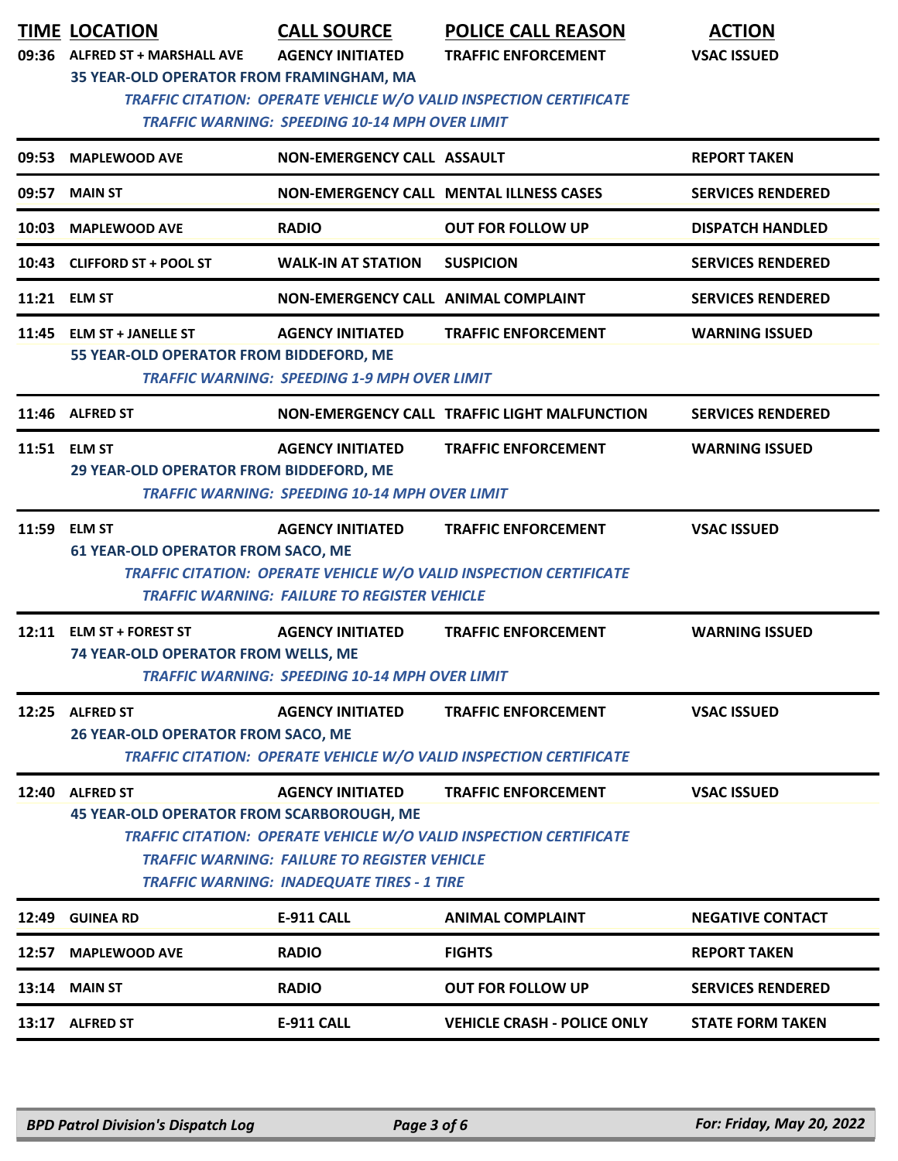|       | <b>TIME LOCATION</b><br>09:36 ALFRED ST + MARSHALL AVE<br>35 YEAR-OLD OPERATOR FROM FRAMINGHAM, MA                                                                                                                                                                                                                                          | <b>CALL SOURCE</b><br><b>AGENCY INITIATED</b><br><b>TRAFFIC WARNING: SPEEDING 10-14 MPH OVER LIMIT</b> | <b>POLICE CALL REASON</b><br><b>TRAFFIC ENFORCEMENT</b><br>TRAFFIC CITATION: OPERATE VEHICLE W/O VALID INSPECTION CERTIFICATE | <b>ACTION</b><br><b>VSAC ISSUED</b> |  |
|-------|---------------------------------------------------------------------------------------------------------------------------------------------------------------------------------------------------------------------------------------------------------------------------------------------------------------------------------------------|--------------------------------------------------------------------------------------------------------|-------------------------------------------------------------------------------------------------------------------------------|-------------------------------------|--|
| 09:53 | <b>MAPLEWOOD AVE</b>                                                                                                                                                                                                                                                                                                                        | <b>NON-EMERGENCY CALL ASSAULT</b>                                                                      |                                                                                                                               | <b>REPORT TAKEN</b>                 |  |
| 09:57 | <b>MAIN ST</b>                                                                                                                                                                                                                                                                                                                              |                                                                                                        | <b>NON-EMERGENCY CALL MENTAL ILLNESS CASES</b>                                                                                | <b>SERVICES RENDERED</b>            |  |
| 10:03 | <b>MAPLEWOOD AVE</b>                                                                                                                                                                                                                                                                                                                        | <b>RADIO</b>                                                                                           | <b>OUT FOR FOLLOW UP</b>                                                                                                      | <b>DISPATCH HANDLED</b>             |  |
|       | 10:43 CLIFFORD ST + POOL ST                                                                                                                                                                                                                                                                                                                 | <b>WALK-IN AT STATION</b>                                                                              | <b>SUSPICION</b>                                                                                                              | <b>SERVICES RENDERED</b>            |  |
|       | 11:21 ELM ST                                                                                                                                                                                                                                                                                                                                | NON-EMERGENCY CALL ANIMAL COMPLAINT                                                                    |                                                                                                                               | <b>SERVICES RENDERED</b>            |  |
|       | 11:45 ELM ST + JANELLE ST<br>55 YEAR-OLD OPERATOR FROM BIDDEFORD, ME                                                                                                                                                                                                                                                                        | <b>AGENCY INITIATED</b><br><b>TRAFFIC WARNING: SPEEDING 1-9 MPH OVER LIMIT</b>                         | <b>TRAFFIC ENFORCEMENT</b>                                                                                                    | <b>WARNING ISSUED</b>               |  |
|       | 11:46 ALFRED ST                                                                                                                                                                                                                                                                                                                             |                                                                                                        | NON-EMERGENCY CALL TRAFFIC LIGHT MALFUNCTION                                                                                  | <b>SERVICES RENDERED</b>            |  |
|       | <b>AGENCY INITIATED</b><br>11:51 ELM ST<br><b>TRAFFIC ENFORCEMENT</b><br><b>WARNING ISSUED</b><br>29 YEAR-OLD OPERATOR FROM BIDDEFORD, ME<br><b>TRAFFIC WARNING: SPEEDING 10-14 MPH OVER LIMIT</b>                                                                                                                                          |                                                                                                        |                                                                                                                               |                                     |  |
| 11:59 | <b>ELM ST</b><br><b>61 YEAR-OLD OPERATOR FROM SACO, ME</b>                                                                                                                                                                                                                                                                                  | <b>AGENCY INITIATED</b><br><b>TRAFFIC WARNING: FAILURE TO REGISTER VEHICLE</b>                         | <b>TRAFFIC ENFORCEMENT</b><br>TRAFFIC CITATION: OPERATE VEHICLE W/O VALID INSPECTION CERTIFICATE                              | <b>VSAC ISSUED</b>                  |  |
| 12:11 | <b>ELM ST + FOREST ST</b><br>74 YEAR-OLD OPERATOR FROM WELLS, ME                                                                                                                                                                                                                                                                            | <b>AGENCY INITIATED</b><br>TRAFFIC WARNING: SPEEDING 10-14 MPH OVER LIMIT                              | <b>TRAFFIC ENFORCEMENT</b>                                                                                                    | <b>WARNING ISSUED</b>               |  |
| 12:25 | <b>ALFRED ST</b><br><b>26 YEAR-OLD OPERATOR FROM SACO, ME</b>                                                                                                                                                                                                                                                                               | <b>AGENCY INITIATED</b>                                                                                | <b>TRAFFIC ENFORCEMENT</b><br>TRAFFIC CITATION: OPERATE VEHICLE W/O VALID INSPECTION CERTIFICATE                              | <b>VSAC ISSUED</b>                  |  |
|       | 12:40 ALFRED ST<br><b>AGENCY INITIATED</b><br><b>VSAC ISSUED</b><br><b>TRAFFIC ENFORCEMENT</b><br><b>45 YEAR-OLD OPERATOR FROM SCARBOROUGH, ME</b><br><b>TRAFFIC CITATION: OPERATE VEHICLE W/O VALID INSPECTION CERTIFICATE</b><br><b>TRAFFIC WARNING: FAILURE TO REGISTER VEHICLE</b><br><b>TRAFFIC WARNING: INADEQUATE TIRES - 1 TIRE</b> |                                                                                                        |                                                                                                                               |                                     |  |
|       |                                                                                                                                                                                                                                                                                                                                             |                                                                                                        |                                                                                                                               |                                     |  |
| 12:49 | <b>GUINEA RD</b>                                                                                                                                                                                                                                                                                                                            | <b>E-911 CALL</b>                                                                                      | <b>ANIMAL COMPLAINT</b>                                                                                                       | <b>NEGATIVE CONTACT</b>             |  |
| 12:57 | <b>MAPLEWOOD AVE</b>                                                                                                                                                                                                                                                                                                                        | <b>RADIO</b>                                                                                           | <b>FIGHTS</b>                                                                                                                 | <b>REPORT TAKEN</b>                 |  |
| 13:14 | <b>MAIN ST</b>                                                                                                                                                                                                                                                                                                                              | <b>RADIO</b>                                                                                           | <b>OUT FOR FOLLOW UP</b>                                                                                                      | <b>SERVICES RENDERED</b>            |  |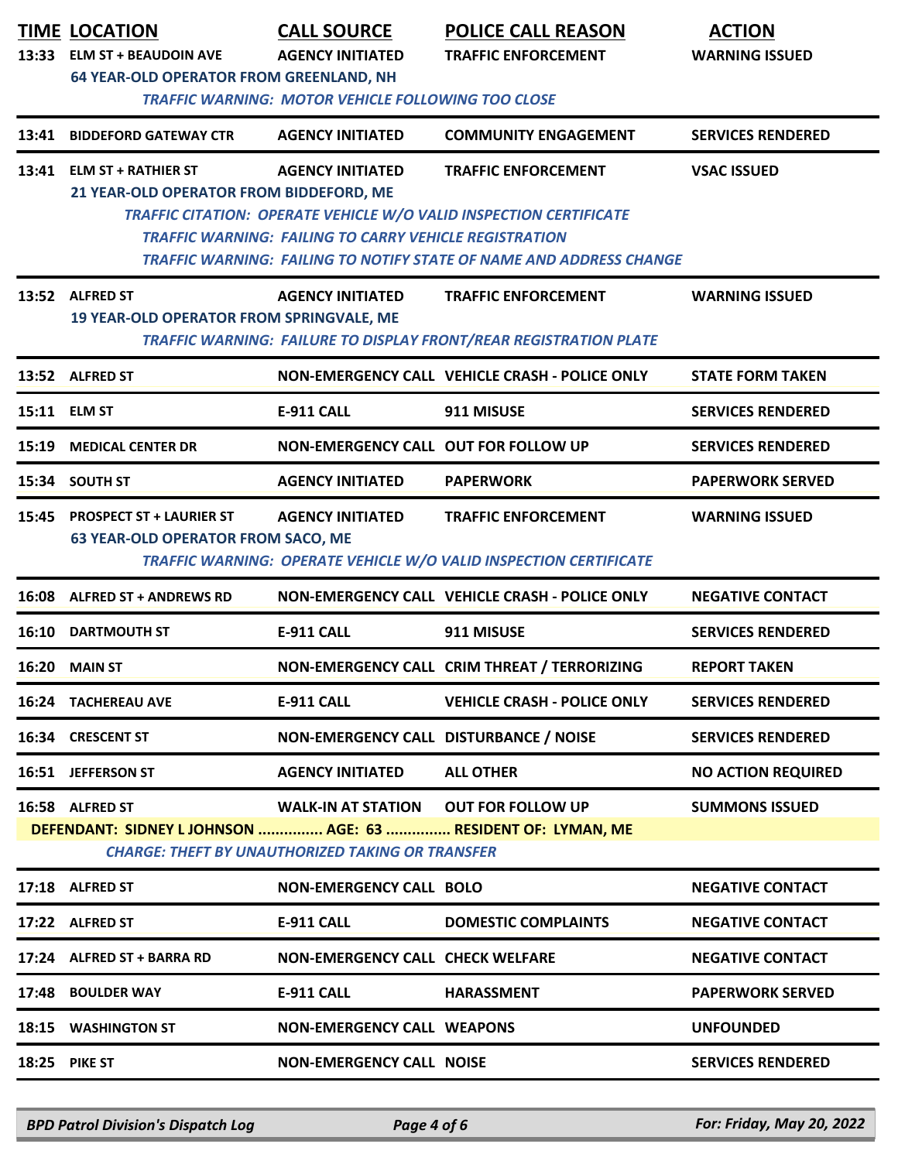|       | <b>TIME LOCATION</b><br>13:33 ELM ST + BEAUDOIN AVE<br><b>64 YEAR-OLD OPERATOR FROM GREENLAND, NH</b> | <b>CALL SOURCE</b><br><b>AGENCY INITIATED</b><br><b>TRAFFIC WARNING: MOTOR VEHICLE FOLLOWING TOO CLOSE</b> | <b>POLICE CALL REASON</b><br><b>TRAFFIC ENFORCEMENT</b>                                                                                                                        | <b>ACTION</b><br><b>WARNING ISSUED</b> |
|-------|-------------------------------------------------------------------------------------------------------|------------------------------------------------------------------------------------------------------------|--------------------------------------------------------------------------------------------------------------------------------------------------------------------------------|----------------------------------------|
| 13:41 | <b>BIDDEFORD GATEWAY CTR</b>                                                                          | <b>AGENCY INITIATED</b>                                                                                    | <b>COMMUNITY ENGAGEMENT</b>                                                                                                                                                    | <b>SERVICES RENDERED</b>               |
|       | 13:41 ELM ST + RATHIER ST<br>21 YEAR-OLD OPERATOR FROM BIDDEFORD, ME                                  | <b>AGENCY INITIATED</b><br><b>TRAFFIC WARNING: FAILING TO CARRY VEHICLE REGISTRATION</b>                   | <b>TRAFFIC ENFORCEMENT</b><br>TRAFFIC CITATION: OPERATE VEHICLE W/O VALID INSPECTION CERTIFICATE<br><b>TRAFFIC WARNING: FAILING TO NOTIFY STATE OF NAME AND ADDRESS CHANGE</b> | <b>VSAC ISSUED</b>                     |
|       | 13:52 ALFRED ST<br>19 YEAR-OLD OPERATOR FROM SPRINGVALE, ME                                           | <b>AGENCY INITIATED</b>                                                                                    | <b>TRAFFIC ENFORCEMENT</b><br><b>TRAFFIC WARNING: FAILURE TO DISPLAY FRONT/REAR REGISTRATION PLATE</b>                                                                         | <b>WARNING ISSUED</b>                  |
|       | 13:52 ALFRED ST                                                                                       |                                                                                                            | NON-EMERGENCY CALL VEHICLE CRASH - POLICE ONLY                                                                                                                                 | <b>STATE FORM TAKEN</b>                |
|       | 15:11 ELM ST                                                                                          | <b>E-911 CALL</b>                                                                                          | 911 MISUSE                                                                                                                                                                     | <b>SERVICES RENDERED</b>               |
| 15:19 | <b>MEDICAL CENTER DR</b>                                                                              | NON-EMERGENCY CALL OUT FOR FOLLOW UP                                                                       |                                                                                                                                                                                | <b>SERVICES RENDERED</b>               |
|       | 15:34 SOUTH ST                                                                                        | <b>AGENCY INITIATED</b>                                                                                    | <b>PAPERWORK</b>                                                                                                                                                               | <b>PAPERWORK SERVED</b>                |
|       | 15:45 PROSPECT ST + LAURIER ST<br><b>63 YEAR-OLD OPERATOR FROM SACO, ME</b>                           | <b>AGENCY INITIATED</b>                                                                                    | <b>TRAFFIC ENFORCEMENT</b><br>TRAFFIC WARNING: OPERATE VEHICLE W/O VALID INSPECTION CERTIFICATE                                                                                | <b>WARNING ISSUED</b>                  |
| 16:08 | <b>ALFRED ST + ANDREWS RD</b>                                                                         |                                                                                                            | NON-EMERGENCY CALL VEHICLE CRASH - POLICE ONLY                                                                                                                                 | <b>NEGATIVE CONTACT</b>                |
| 16:10 | <b>DARTMOUTH ST</b>                                                                                   | <b>E-911 CALL</b>                                                                                          | 911 MISUSE                                                                                                                                                                     | <b>SERVICES RENDERED</b>               |
| 16:20 | <b>MAIN ST</b>                                                                                        |                                                                                                            | NON-EMERGENCY CALL CRIM THREAT / TERRORIZING                                                                                                                                   | <b>REPORT TAKEN</b>                    |
|       | <b>16:24 TACHEREAU AVE</b>                                                                            | <b>E-911 CALL</b>                                                                                          | <b>VEHICLE CRASH - POLICE ONLY</b>                                                                                                                                             | <b>SERVICES RENDERED</b>               |
|       | 16:34 CRESCENT ST                                                                                     | NON-EMERGENCY CALL DISTURBANCE / NOISE                                                                     |                                                                                                                                                                                | <b>SERVICES RENDERED</b>               |
|       | 16:51 JEFFERSON ST                                                                                    | <b>AGENCY INITIATED</b>                                                                                    | <b>ALL OTHER</b>                                                                                                                                                               | <b>NO ACTION REQUIRED</b>              |
|       | 16:58 ALFRED ST<br>DEFENDANT: SIDNEY L JOHNSON  AGE: 63  RESIDENT OF: LYMAN, ME                       | <b>WALK-IN AT STATION OUT FOR FOLLOW UP</b><br><b>CHARGE: THEFT BY UNAUTHORIZED TAKING OR TRANSFER</b>     |                                                                                                                                                                                | <b>SUMMONS ISSUED</b>                  |
|       | 17:18 ALFRED ST                                                                                       | <b>NON-EMERGENCY CALL BOLO</b>                                                                             |                                                                                                                                                                                | <b>NEGATIVE CONTACT</b>                |
|       | 17:22 ALFRED ST                                                                                       | <b>E-911 CALL</b>                                                                                          | <b>DOMESTIC COMPLAINTS</b>                                                                                                                                                     | <b>NEGATIVE CONTACT</b>                |
|       | 17:24 ALFRED ST + BARRA RD                                                                            | <b>NON-EMERGENCY CALL CHECK WELFARE</b>                                                                    |                                                                                                                                                                                | <b>NEGATIVE CONTACT</b>                |
| 17:48 | <b>BOULDER WAY</b>                                                                                    | <b>E-911 CALL</b>                                                                                          | <b>HARASSMENT</b>                                                                                                                                                              | <b>PAPERWORK SERVED</b>                |
|       | <b>18:15 WASHINGTON ST</b>                                                                            | <b>NON-EMERGENCY CALL WEAPONS</b>                                                                          |                                                                                                                                                                                | <b>UNFOUNDED</b>                       |
|       | <b>18:25 PIKE ST</b>                                                                                  | <b>NON-EMERGENCY CALL NOISE</b>                                                                            |                                                                                                                                                                                | <b>SERVICES RENDERED</b>               |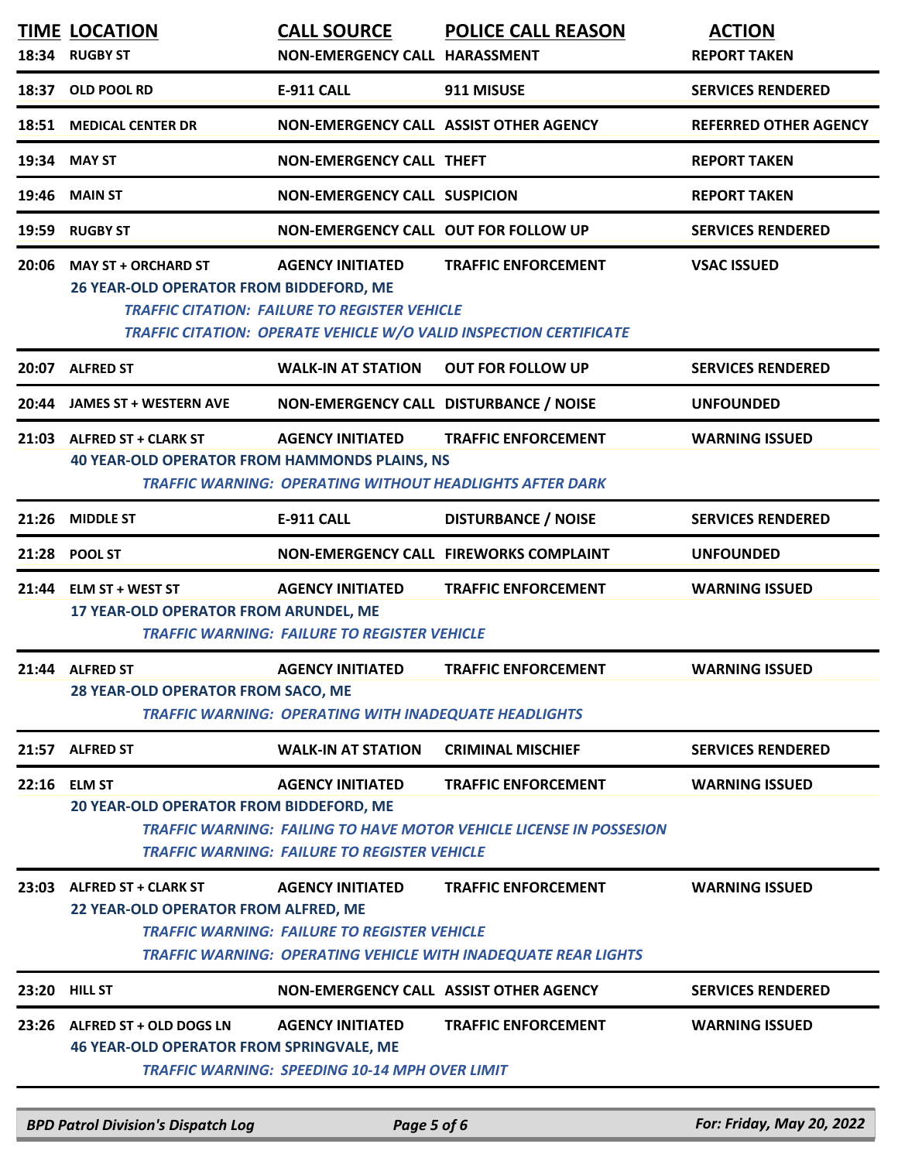|       | <b>TIME LOCATION</b><br>18:34 RUGBY ST                                                                                                                                                                                                                                            | <b>CALL SOURCE</b><br>NON-EMERGENCY CALL HARASSMENT                                     | <b>POLICE CALL REASON</b>                                                                                | <b>ACTION</b><br><b>REPORT TAKEN</b> |
|-------|-----------------------------------------------------------------------------------------------------------------------------------------------------------------------------------------------------------------------------------------------------------------------------------|-----------------------------------------------------------------------------------------|----------------------------------------------------------------------------------------------------------|--------------------------------------|
|       | 18:37 OLD POOL RD                                                                                                                                                                                                                                                                 | <b>E-911 CALL</b>                                                                       | 911 MISUSE                                                                                               | <b>SERVICES RENDERED</b>             |
|       | 18:51 MEDICAL CENTER DR                                                                                                                                                                                                                                                           |                                                                                         | NON-EMERGENCY CALL ASSIST OTHER AGENCY                                                                   | <b>REFERRED OTHER AGENCY</b>         |
|       | 19:34 MAY ST                                                                                                                                                                                                                                                                      | <b>NON-EMERGENCY CALL THEFT</b>                                                         |                                                                                                          | <b>REPORT TAKEN</b>                  |
| 19:46 | <b>MAIN ST</b>                                                                                                                                                                                                                                                                    | <b>NON-EMERGENCY CALL SUSPICION</b>                                                     |                                                                                                          | <b>REPORT TAKEN</b>                  |
| 19:59 | <b>RUGBY ST</b>                                                                                                                                                                                                                                                                   | NON-EMERGENCY CALL OUT FOR FOLLOW UP                                                    |                                                                                                          | <b>SERVICES RENDERED</b>             |
|       | 20:06 MAY ST + ORCHARD ST<br><b>AGENCY INITIATED</b><br><b>TRAFFIC ENFORCEMENT</b><br><b>VSAC ISSUED</b><br>26 YEAR-OLD OPERATOR FROM BIDDEFORD, ME<br><b>TRAFFIC CITATION: FAILURE TO REGISTER VEHICLE</b><br>TRAFFIC CITATION: OPERATE VEHICLE W/O VALID INSPECTION CERTIFICATE |                                                                                         |                                                                                                          |                                      |
|       | 20:07 ALFRED ST                                                                                                                                                                                                                                                                   | <b>WALK-IN AT STATION</b>                                                               | <b>OUT FOR FOLLOW UP</b>                                                                                 | <b>SERVICES RENDERED</b>             |
| 20:44 | <b>JAMES ST + WESTERN AVE</b>                                                                                                                                                                                                                                                     |                                                                                         | NON-EMERGENCY CALL DISTURBANCE / NOISE                                                                   | <b>UNFOUNDED</b>                     |
|       | 21:03 ALFRED ST + CLARK ST<br><b>40 YEAR-OLD OPERATOR FROM HAMMONDS PLAINS, NS</b>                                                                                                                                                                                                | <b>AGENCY INITIATED</b>                                                                 | <b>TRAFFIC ENFORCEMENT</b><br><b>TRAFFIC WARNING: OPERATING WITHOUT HEADLIGHTS AFTER DARK</b>            | <b>WARNING ISSUED</b>                |
|       | 21:26 MIDDLE ST                                                                                                                                                                                                                                                                   | <b>E-911 CALL</b>                                                                       | <b>DISTURBANCE / NOISE</b>                                                                               | <b>SERVICES RENDERED</b>             |
|       | 21:28 POOL ST                                                                                                                                                                                                                                                                     |                                                                                         | <b>NON-EMERGENCY CALL FIREWORKS COMPLAINT</b>                                                            | <b>UNFOUNDED</b>                     |
|       | 21:44 ELM ST + WEST ST<br>17 YEAR-OLD OPERATOR FROM ARUNDEL, ME                                                                                                                                                                                                                   | <b>AGENCY INITIATED</b><br><b>TRAFFIC WARNING: FAILURE TO REGISTER VEHICLE</b>          | <b>TRAFFIC ENFORCEMENT</b>                                                                               | <b>WARNING ISSUED</b>                |
|       | 21:44 ALFRED ST<br>28 YEAR-OLD OPERATOR FROM SACO, ME                                                                                                                                                                                                                             | <b>AGENCY INITIATED</b><br><b>TRAFFIC WARNING: OPERATING WITH INADEQUATE HEADLIGHTS</b> | <b>TRAFFIC ENFORCEMENT</b>                                                                               | <b>WARNING ISSUED</b>                |
|       | 21:57 ALFRED ST                                                                                                                                                                                                                                                                   | <b>WALK-IN AT STATION</b>                                                               | <b>CRIMINAL MISCHIEF</b>                                                                                 | <b>SERVICES RENDERED</b>             |
| 22:16 | <b>ELM ST</b><br>20 YEAR-OLD OPERATOR FROM BIDDEFORD, ME                                                                                                                                                                                                                          | <b>AGENCY INITIATED</b><br><b>TRAFFIC WARNING: FAILURE TO REGISTER VEHICLE</b>          | <b>TRAFFIC ENFORCEMENT</b><br><b>TRAFFIC WARNING: FAILING TO HAVE MOTOR VEHICLE LICENSE IN POSSESION</b> | <b>WARNING ISSUED</b>                |
|       | 23:03 ALFRED ST + CLARK ST<br>22 YEAR-OLD OPERATOR FROM ALFRED, ME                                                                                                                                                                                                                | <b>AGENCY INITIATED</b><br><b>TRAFFIC WARNING: FAILURE TO REGISTER VEHICLE</b>          | <b>TRAFFIC ENFORCEMENT</b><br><b>TRAFFIC WARNING: OPERATING VEHICLE WITH INADEQUATE REAR LIGHTS</b>      | <b>WARNING ISSUED</b>                |
|       | 23:20 HILL ST                                                                                                                                                                                                                                                                     |                                                                                         | NON-EMERGENCY CALL ASSIST OTHER AGENCY                                                                   | <b>SERVICES RENDERED</b>             |
|       | 23:26 ALFRED ST + OLD DOGS LN<br><b>46 YEAR-OLD OPERATOR FROM SPRINGVALE, ME</b>                                                                                                                                                                                                  | <b>AGENCY INITIATED</b><br><b>TRAFFIC WARNING: SPEEDING 10-14 MPH OVER LIMIT</b>        | <b>TRAFFIC ENFORCEMENT</b>                                                                               | <b>WARNING ISSUED</b>                |
|       | <b>BPD Patrol Division's Dispatch Log</b>                                                                                                                                                                                                                                         | Page 5 of 6                                                                             |                                                                                                          | For: Friday, May 20, 2022            |